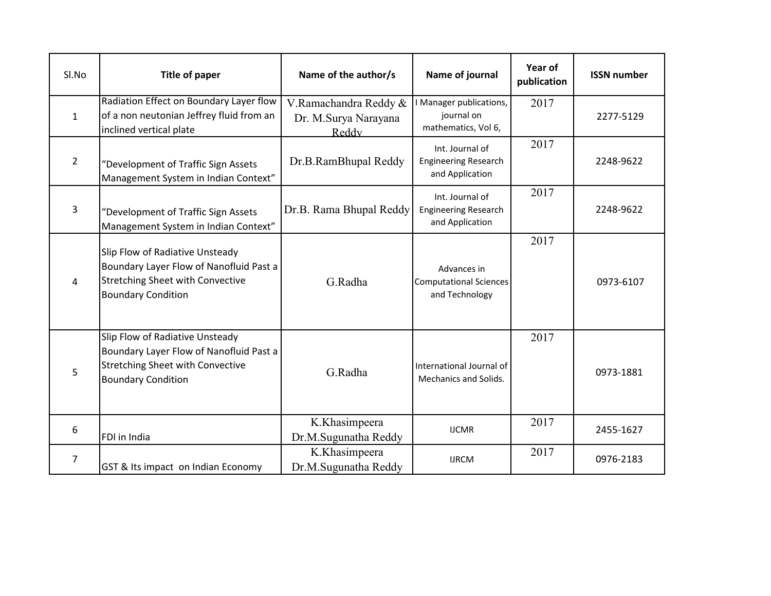| SI.No          | <b>Title of paper</b>                                                                                                                              | Name of the author/s                                   | Name of journal                                                   | Year of<br>publication | <b>ISSN number</b> |
|----------------|----------------------------------------------------------------------------------------------------------------------------------------------------|--------------------------------------------------------|-------------------------------------------------------------------|------------------------|--------------------|
| $\mathbf{1}$   | Radiation Effect on Boundary Layer flow<br>of a non neutonian Jeffrey fluid from an<br>inclined vertical plate                                     | V.Ramachandra Reddy &<br>Dr. M.Surya Narayana<br>Reddy | Manager publications,<br>journal on<br>mathematics, Vol 6,        | 2017                   | 2277-5129          |
| $\overline{2}$ | "Development of Traffic Sign Assets<br>Management System in Indian Context"                                                                        | Dr.B.RamBhupal Reddy                                   | Int. Journal of<br><b>Engineering Research</b><br>and Application | 2017                   | 2248-9622          |
| 3              | "Development of Traffic Sign Assets<br>Management System in Indian Context"                                                                        | Dr.B. Rama Bhupal Reddy                                | Int. Journal of<br><b>Engineering Research</b><br>and Application | 2017                   | 2248-9622          |
| 4              | Slip Flow of Radiative Unsteady<br>Boundary Layer Flow of Nanofluid Past a<br><b>Stretching Sheet with Convective</b><br><b>Boundary Condition</b> | G.Radha                                                | Advances in<br><b>Computational Sciences</b><br>and Technology    | 2017                   | 0973-6107          |
| 5              | Slip Flow of Radiative Unsteady<br>Boundary Layer Flow of Nanofluid Past a<br><b>Stretching Sheet with Convective</b><br><b>Boundary Condition</b> | G.Radha                                                | International Journal of<br><b>Mechanics and Solids.</b>          | 2017                   | 0973-1881          |
| 6              | FDI in India                                                                                                                                       | K.Khasimpeera<br>Dr.M.Sugunatha Reddy                  | <b>IJCMR</b>                                                      | 2017                   | 2455-1627          |
| $\overline{7}$ | GST & Its impact on Indian Economy                                                                                                                 | K.Khasimpeera<br>Dr.M.Sugunatha Reddy                  | <b>IJRCM</b>                                                      | 2017                   | 0976-2183          |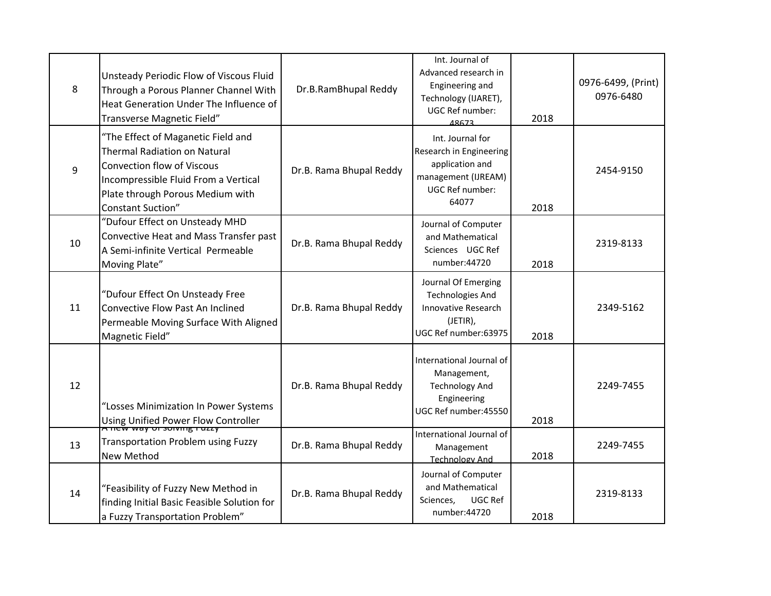| 8  | Unsteady Periodic Flow of Viscous Fluid<br>Through a Porous Planner Channel With<br>Heat Generation Under The Influence of<br>Transverse Magnetic Field"                                                        | Dr.B.RamBhupal Reddy    | Int. Journal of<br>Advanced research in<br>Engineering and<br>Technology (IJARET),<br><b>UGC Ref number:</b><br>48673 | 2018 | 0976-6499, (Print)<br>0976-6480 |
|----|-----------------------------------------------------------------------------------------------------------------------------------------------------------------------------------------------------------------|-------------------------|-----------------------------------------------------------------------------------------------------------------------|------|---------------------------------|
| 9  | "The Effect of Maganetic Field and<br>Thermal Radiation on Natural<br><b>Convection flow of Viscous</b><br>Incompressible Fluid From a Vertical<br>Plate through Porous Medium with<br><b>Constant Suction"</b> | Dr.B. Rama Bhupal Reddy | Int. Journal for<br>Research in Engineering<br>application and<br>management (IJREAM)<br>UGC Ref number:<br>64077     | 2018 | 2454-9150                       |
| 10 | "Dufour Effect on Unsteady MHD<br>Convective Heat and Mass Transfer past<br>A Semi-infinite Vertical Permeable<br>Moving Plate"                                                                                 | Dr.B. Rama Bhupal Reddy | Journal of Computer<br>and Mathematical<br>Sciences UGC Ref<br>number: 44720                                          | 2018 | 2319-8133                       |
| 11 | "Dufour Effect On Unsteady Free<br>Convective Flow Past An Inclined<br>Permeable Moving Surface With Aligned<br>Magnetic Field"                                                                                 | Dr.B. Rama Bhupal Reddy | Journal Of Emerging<br><b>Technologies And</b><br>Innovative Research<br>(JETIR),<br>UGC Ref number:63975             | 2018 | 2349-5162                       |
| 12 | "Losses Minimization In Power Systems<br>Using Unified Power Flow Controller                                                                                                                                    | Dr.B. Rama Bhupal Reddy | International Journal of<br>Management,<br><b>Technology And</b><br>Engineering<br>UGC Ref number:45550               | 2018 | 2249-7455                       |
| 13 | <b>Transportation Problem using Fuzzy</b><br>New Method                                                                                                                                                         | Dr.B. Rama Bhupal Reddy | International Journal of<br>Management<br><b>Technology And</b>                                                       | 2018 | 2249-7455                       |
| 14 | "Feasibility of Fuzzy New Method in<br>finding Initial Basic Feasible Solution for<br>a Fuzzy Transportation Problem"                                                                                           | Dr.B. Rama Bhupal Reddy | Journal of Computer<br>and Mathematical<br>UGC Ref<br>Sciences,<br>number: 44720                                      | 2018 | 2319-8133                       |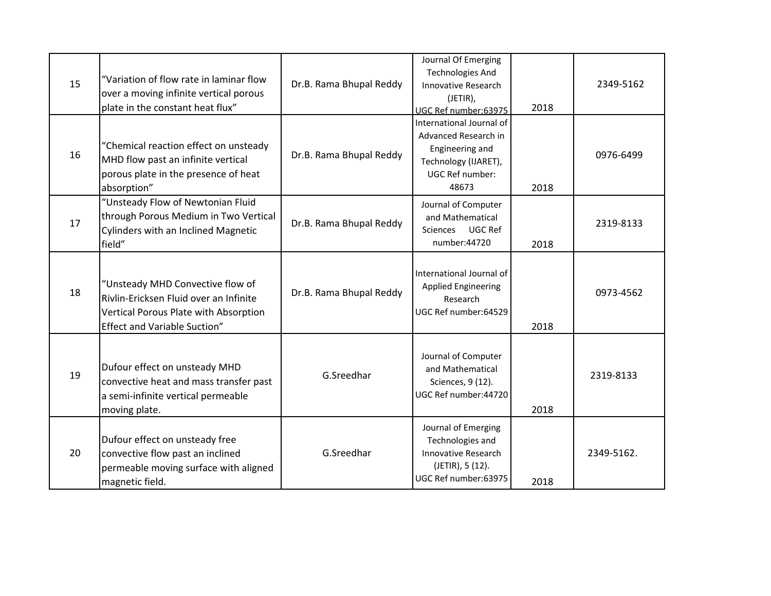| 15 | "Variation of flow rate in laminar flow<br>over a moving infinite vertical porous<br>plate in the constant heat flux"                                      | Dr.B. Rama Bhupal Reddy | Journal Of Emerging<br><b>Technologies And</b><br><b>Innovative Research</b><br>(JETIR),<br>UGC Ref number:63975               | 2018 | 2349-5162  |
|----|------------------------------------------------------------------------------------------------------------------------------------------------------------|-------------------------|--------------------------------------------------------------------------------------------------------------------------------|------|------------|
| 16 | "Chemical reaction effect on unsteady<br>MHD flow past an infinite vertical<br>porous plate in the presence of heat<br>absorption"                         | Dr.B. Rama Bhupal Reddy | International Journal of<br>Advanced Research in<br>Engineering and<br>Technology (IJARET),<br><b>UGC Ref number:</b><br>48673 | 2018 | 0976-6499  |
| 17 | "Unsteady Flow of Newtonian Fluid<br>through Porous Medium in Two Vertical<br><b>Cylinders with an Inclined Magnetic</b><br>field"                         | Dr.B. Rama Bhupal Reddy | Journal of Computer<br>and Mathematical<br>UGC Ref<br><b>Sciences</b><br>number:44720                                          | 2018 | 2319-8133  |
| 18 | "Unsteady MHD Convective flow of<br>Rivlin-Ericksen Fluid over an Infinite<br>Vertical Porous Plate with Absorption<br><b>Effect and Variable Suction"</b> | Dr.B. Rama Bhupal Reddy | International Journal of<br><b>Applied Engineering</b><br>Research<br>UGC Ref number:64529                                     | 2018 | 0973-4562  |
| 19 | Dufour effect on unsteady MHD<br>convective heat and mass transfer past<br>a semi-infinite vertical permeable<br>moving plate.                             | G.Sreedhar              | Journal of Computer<br>and Mathematical<br>Sciences, 9 (12).<br>UGC Ref number: 44720                                          | 2018 | 2319-8133  |
| 20 | Dufour effect on unsteady free<br>convective flow past an inclined<br>permeable moving surface with aligned<br>magnetic field.                             | G.Sreedhar              | Journal of Emerging<br>Technologies and<br>Innovative Research<br>(JETIR), 5 (12).<br>UGC Ref number:63975                     | 2018 | 2349-5162. |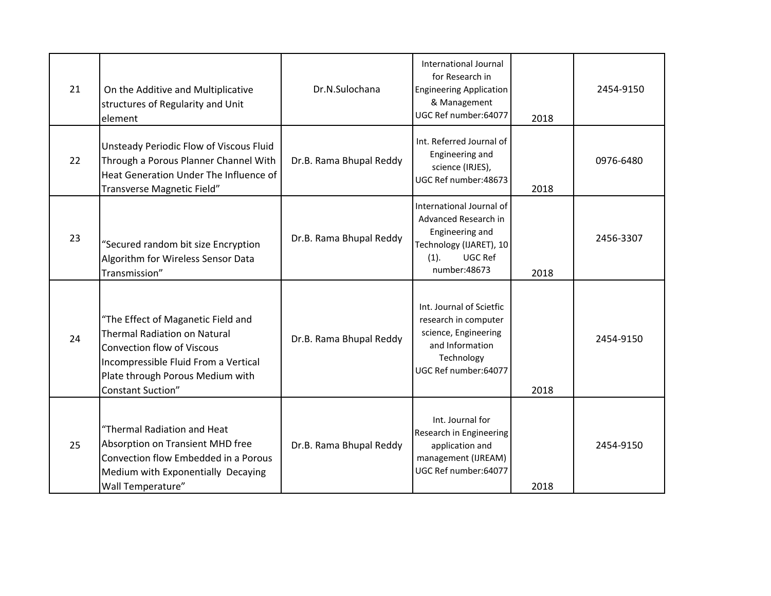| 21 | On the Additive and Multiplicative<br>structures of Regularity and Unit<br>element                                                                                                                                     | Dr.N.Sulochana          | International Journal<br>for Research in<br><b>Engineering Application</b><br>& Management<br>UGC Ref number:64077                | 2018 | 2454-9150 |
|----|------------------------------------------------------------------------------------------------------------------------------------------------------------------------------------------------------------------------|-------------------------|-----------------------------------------------------------------------------------------------------------------------------------|------|-----------|
| 22 | Unsteady Periodic Flow of Viscous Fluid<br>Through a Porous Planner Channel With<br>Heat Generation Under The Influence of<br>Transverse Magnetic Field"                                                               | Dr.B. Rama Bhupal Reddy | Int. Referred Journal of<br>Engineering and<br>science (IRJES),<br>UGC Ref number: 48673                                          | 2018 | 0976-6480 |
| 23 | "Secured random bit size Encryption<br>Algorithm for Wireless Sensor Data<br>Transmission"                                                                                                                             | Dr.B. Rama Bhupal Reddy | International Journal of<br>Advanced Research in<br>Engineering and<br>Technology (IJARET), 10<br>UGC Ref<br>(1).<br>number:48673 | 2018 | 2456-3307 |
| 24 | "The Effect of Maganetic Field and<br><b>Thermal Radiation on Natural</b><br><b>Convection flow of Viscous</b><br>Incompressible Fluid From a Vertical<br>Plate through Porous Medium with<br><b>Constant Suction"</b> | Dr.B. Rama Bhupal Reddy | Int. Journal of Scietfic<br>research in computer<br>science, Engineering<br>and Information<br>Technology<br>UGC Ref number:64077 | 2018 | 2454-9150 |
| 25 | "Thermal Radiation and Heat<br>Absorption on Transient MHD free<br>Convection flow Embedded in a Porous<br>Medium with Exponentially Decaying<br>Wall Temperature"                                                     | Dr.B. Rama Bhupal Reddy | Int. Journal for<br>Research in Engineering<br>application and<br>management (IJREAM)<br>UGC Ref number:64077                     | 2018 | 2454-9150 |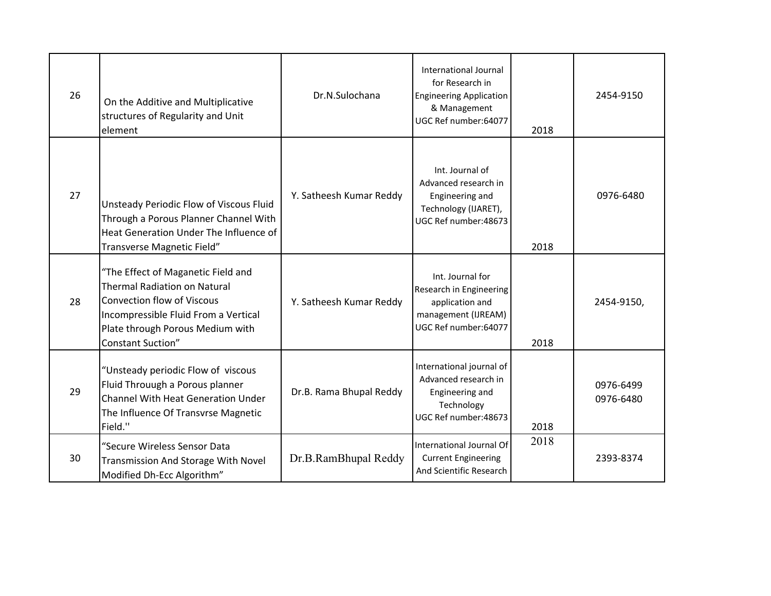| 26 | On the Additive and Multiplicative<br>structures of Regularity and Unit<br>element                                                                                                                                     | Dr.N.Sulochana          | International Journal<br>for Research in<br><b>Engineering Application</b><br>& Management<br>UGC Ref number:64077 | 2018 | 2454-9150              |
|----|------------------------------------------------------------------------------------------------------------------------------------------------------------------------------------------------------------------------|-------------------------|--------------------------------------------------------------------------------------------------------------------|------|------------------------|
| 27 | Unsteady Periodic Flow of Viscous Fluid<br>Through a Porous Planner Channel With<br>Heat Generation Under The Influence of<br>Transverse Magnetic Field"                                                               | Y. Satheesh Kumar Reddy | Int. Journal of<br>Advanced research in<br>Engineering and<br>Technology (IJARET),<br>UGC Ref number: 48673        | 2018 | 0976-6480              |
| 28 | "The Effect of Maganetic Field and<br><b>Thermal Radiation on Natural</b><br><b>Convection flow of Viscous</b><br>Incompressible Fluid From a Vertical<br>Plate through Porous Medium with<br><b>Constant Suction"</b> | Y. Satheesh Kumar Reddy | Int. Journal for<br>Research in Engineering<br>application and<br>management (IJREAM)<br>UGC Ref number:64077      | 2018 | 2454-9150,             |
| 29 | "Unsteady periodic Flow of viscous<br>Fluid Throuugh a Porous planner<br><b>Channel With Heat Generation Under</b><br>The Influence Of Transvrse Magnetic<br>Field."                                                   | Dr.B. Rama Bhupal Reddy | International journal of<br>Advanced research in<br>Engineering and<br>Technology<br>UGC Ref number: 48673         | 2018 | 0976-6499<br>0976-6480 |
| 30 | "Secure Wireless Sensor Data<br>Transmission And Storage With Novel<br>Modified Dh-Ecc Algorithm"                                                                                                                      | Dr.B.RamBhupal Reddy    | International Journal Of<br><b>Current Engineering</b><br>And Scientific Research                                  | 2018 | 2393-8374              |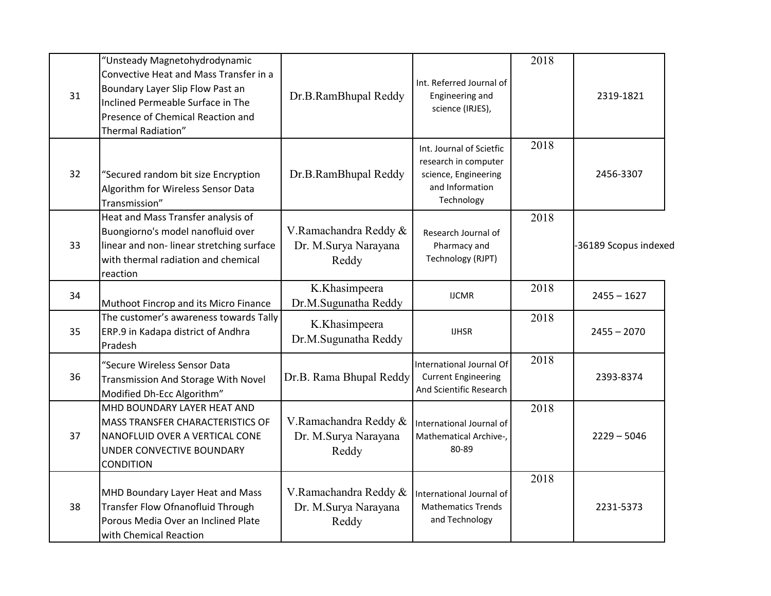| 31 | "Unsteady Magnetohydrodynamic<br>Convective Heat and Mass Transfer in a<br>Boundary Layer Slip Flow Past an<br>Inclined Permeable Surface in The<br>Presence of Chemical Reaction and<br>Thermal Radiation" | Dr.B.RamBhupal Reddy                                   | Int. Referred Journal of<br>Engineering and<br>science (IRJES),                                           | 2018 | 2319-1821             |
|----|-------------------------------------------------------------------------------------------------------------------------------------------------------------------------------------------------------------|--------------------------------------------------------|-----------------------------------------------------------------------------------------------------------|------|-----------------------|
| 32 | "Secured random bit size Encryption<br>Algorithm for Wireless Sensor Data<br>Transmission"                                                                                                                  | Dr.B.RamBhupal Reddy                                   | Int. Journal of Scietfic<br>research in computer<br>science, Engineering<br>and Information<br>Technology | 2018 | 2456-3307             |
| 33 | Heat and Mass Transfer analysis of<br>Buongiorno's model nanofluid over<br>linear and non-linear stretching surface<br>with thermal radiation and chemical<br>reaction                                      | V.Ramachandra Reddy &<br>Dr. M.Surya Narayana<br>Reddy | Research Journal of<br>Pharmacy and<br>Technology (RJPT)                                                  | 2018 | -36189 Scopus indexed |
| 34 | Muthoot Fincrop and its Micro Finance                                                                                                                                                                       | K.Khasimpeera<br>Dr.M.Sugunatha Reddy                  | <b>IJCMR</b>                                                                                              | 2018 | $2455 - 1627$         |
| 35 | The customer's awareness towards Tally<br>ERP.9 in Kadapa district of Andhra<br>Pradesh                                                                                                                     | K.Khasimpeera<br>Dr.M.Sugunatha Reddy                  | <b>IJHSR</b>                                                                                              | 2018 | $2455 - 2070$         |
| 36 | "Secure Wireless Sensor Data<br>Transmission And Storage With Novel<br>Modified Dh-Ecc Algorithm"                                                                                                           | Dr.B. Rama Bhupal Reddy                                | International Journal Of<br><b>Current Engineering</b><br>And Scientific Research                         | 2018 | 2393-8374             |
| 37 | MHD BOUNDARY LAYER HEAT AND<br>MASS TRANSFER CHARACTERISTICS OF<br>NANOFLUID OVER A VERTICAL CONE<br>UNDER CONVECTIVE BOUNDARY<br><b>CONDITION</b>                                                          | V.Ramachandra Reddy &<br>Dr. M.Surya Narayana<br>Reddy | International Journal of<br>Mathematical Archive-,<br>80-89                                               | 2018 | $2229 - 5046$         |
| 38 | MHD Boundary Layer Heat and Mass<br>Transfer Flow Ofnanofluid Through<br>Porous Media Over an Inclined Plate<br>with Chemical Reaction                                                                      | V.Ramachandra Reddy &<br>Dr. M.Surya Narayana<br>Reddy | International Journal of<br><b>Mathematics Trends</b><br>and Technology                                   | 2018 | 2231-5373             |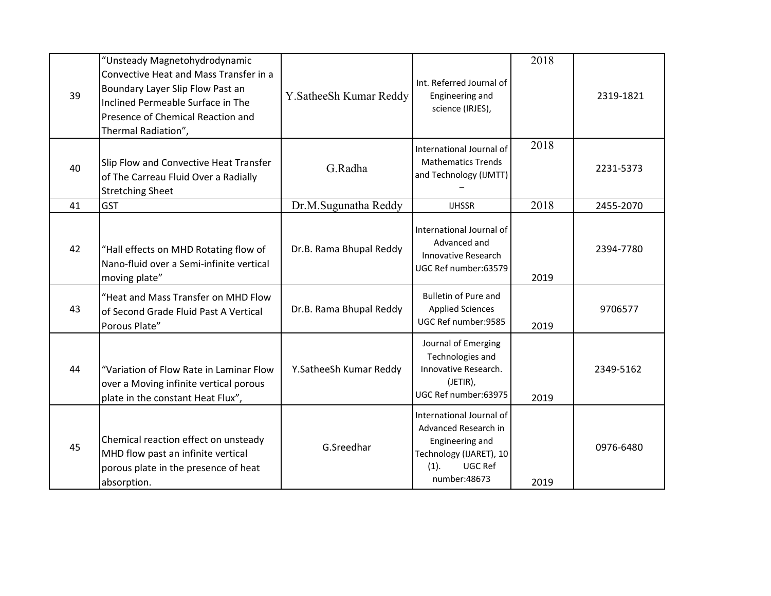| 39 | "Unsteady Magnetohydrodynamic<br>Convective Heat and Mass Transfer in a<br>Boundary Layer Slip Flow Past an<br>Inclined Permeable Surface in The<br>Presence of Chemical Reaction and<br>Thermal Radiation", | Y. Sathee Sh Kumar Reddy | Int. Referred Journal of<br>Engineering and<br>science (IRJES),                                                                   | 2018 | 2319-1821 |
|----|--------------------------------------------------------------------------------------------------------------------------------------------------------------------------------------------------------------|--------------------------|-----------------------------------------------------------------------------------------------------------------------------------|------|-----------|
| 40 | Slip Flow and Convective Heat Transfer<br>of The Carreau Fluid Over a Radially<br><b>Stretching Sheet</b>                                                                                                    | G.Radha                  | International Journal of<br><b>Mathematics Trends</b><br>and Technology (IJMTT)                                                   | 2018 | 2231-5373 |
| 41 | <b>GST</b>                                                                                                                                                                                                   | Dr.M.Sugunatha Reddy     | <b>IJHSSR</b>                                                                                                                     | 2018 | 2455-2070 |
| 42 | "Hall effects on MHD Rotating flow of<br>Nano-fluid over a Semi-infinite vertical<br>moving plate"                                                                                                           | Dr.B. Rama Bhupal Reddy  | International Journal of<br>Advanced and<br>Innovative Research<br>UGC Ref number:63579                                           | 2019 | 2394-7780 |
| 43 | "Heat and Mass Transfer on MHD Flow<br>of Second Grade Fluid Past A Vertical<br>Porous Plate"                                                                                                                | Dr.B. Rama Bhupal Reddy  | <b>Bulletin of Pure and</b><br><b>Applied Sciences</b><br>UGC Ref number:9585                                                     | 2019 | 9706577   |
| 44 | "Variation of Flow Rate in Laminar Flow<br>over a Moving infinite vertical porous<br>plate in the constant Heat Flux",                                                                                       | Y.SatheeSh Kumar Reddy   | Journal of Emerging<br>Technologies and<br>Innovative Research.<br>(JETIR),<br>UGC Ref number:63975                               | 2019 | 2349-5162 |
| 45 | Chemical reaction effect on unsteady<br>MHD flow past an infinite vertical<br>porous plate in the presence of heat<br>absorption.                                                                            | G.Sreedhar               | International Journal of<br>Advanced Research in<br>Engineering and<br>Technology (IJARET), 10<br>UGC Ref<br>(1).<br>number:48673 | 2019 | 0976-6480 |